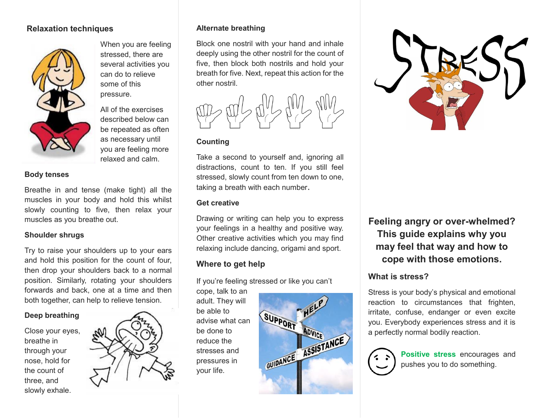### **Relaxation techniques**



When you are feeling stressed, there are several activities you can do to relieve some of this pressure.

All of the exercises described below can be repeated as often as necessary until you are feeling more relaxed and calm.

#### **Body tenses**

Breathe in and tense (make tight) all the muscles in your body and hold this whilst slowly counting to five, then relax your muscles as you breathe out.

#### **Shoulder shrugs**

Try to raise your shoulders up to your ears and hold this position for the count of four, then drop your shoulders back to a normal position. Similarly, rotating your shoulders forwards and back, one at a time and then both together, can help to relieve tension.

#### **Deep breathing**

Close your eyes, breathe in through your nose, hold for the count of three, and slowly exhale.



### **Alternate breathing**

Block one nostril with your hand and inhale deeply using the other nostril for the count of five, then block both nostrils and hold your breath for five. Next, repeat this action for the other nostril.



### **Counting**

Take a second to yourself and, ignoring all distractions, count to ten. If you still feel stressed, slowly count from ten down to one, taking a breath with each number.

#### **Get creative**

Drawing or writing can help you to express your feelings in a healthy and positive way. Other creative activities which you may find relaxing include dancing, origami and sport.

## **Where to get help**

If you're feeling stressed or like you can't

cope, talk to an adult. They will be able to advise what can be done to reduce the stresses and pressures in your life.





**Feeling angry or over-whelmed? This guide explains why you may feel that way and how to cope with those emotions.**

## **What is stress?**

Stress is your body's physical and emotional reaction to circumstances that frighten, irritate, confuse, endanger or even excite you. Everybody experiences stress and it is a perfectly normal bodily reaction.



**Positive stress** encourages and pushes you to do something.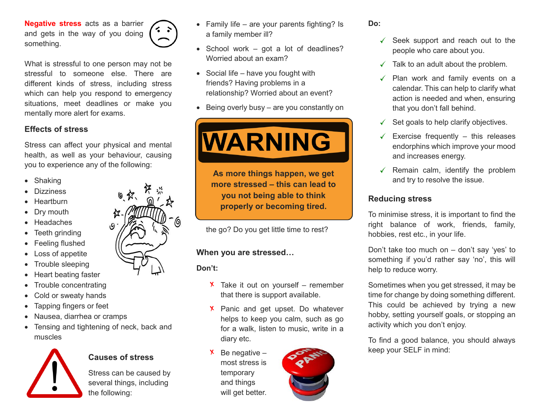**Negative stress** acts as a barrier and gets in the way of you doing something.



What is stressful to one person may not be stressful to someone else. There are different kinds of stress, including stress which can help you respond to emergency situations, meet deadlines or make you mentally more alert for exams.

# **Effects of stress**

Stress can affect your physical and mental health, as well as your behaviour, causing you to experience any of the following:

- Shaking
- **Dizziness**
- **Heartburn**
- Dry mouth
- Headaches
- Teeth grinding
- Feeling flushed
- Loss of appetite
- Trouble sleeping
- Heart beating faster
- Trouble concentrating
- Cold or sweaty hands
- Tapping fingers or feet
- Nausea, diarrhea or cramps
- Tensing and tightening of neck, back and muscles



## **Causes of stress**

Stress can be caused by several things, including the following:

- Family life are your parents fighting? Is a family member ill?
- $\bullet$  School work got a lot of deadlines? Worried about an exam?
- $\bullet$  Social life have you fought with friends? Having problems in a relationship? Worried about an event?
- $\bullet$  Being overly busy are you constantly on



**As more things happen, we get more stressed – this can lead to you not being able to think properly or becoming tired.**

the go? Do you get little time to rest?

## **When you are stressed…**

**Don't:**

- $X$  Take it out on yourself remember that there is support available.
- **X** Panic and get upset. Do whatever helps to keep you calm, such as go for a walk, listen to music, write in a diary etc.
- Be negative most stress is temporary and things will get better.



#### **Do:**

- $\checkmark$  Seek support and reach out to the people who care about you.
- $\checkmark$  Talk to an adult about the problem.
- $\checkmark$  Plan work and family events on a calendar. This can help to clarify what action is needed and when, ensuring that you don't fall behind.
- $\checkmark$  Set goals to help clarify objectives.
- $\checkmark$  Exercise frequently this releases endorphins which improve your mood and increases energy.
- $\checkmark$  Remain calm, identify the problem and try to resolve the issue.

## **Reducing stress**

To minimise stress, it is important to find the right balance of work, friends, family, hobbies, rest etc., in your life.

Don't take too much on – don't say 'yes' to something if you'd rather say 'no', this will help to reduce worry.

Sometimes when you get stressed, it may be time for change by doing something different. This could be achieved by trying a new hobby, setting yourself goals, or stopping an activity which you don't enjoy.

To find a good balance, you should always keep your SELF in mind: